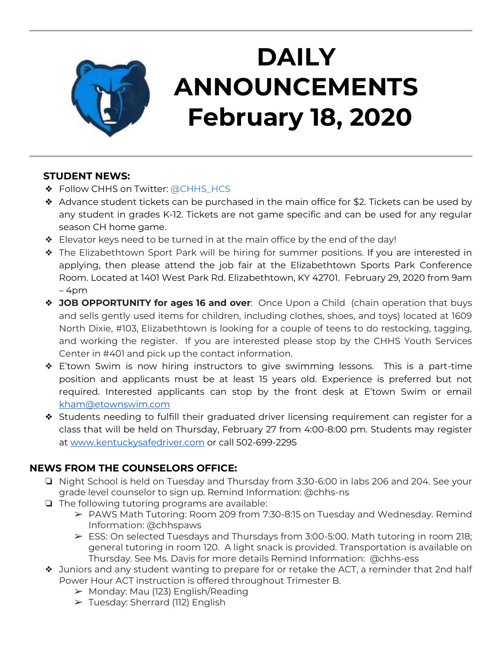

# **DAILY ANNOUNCEMENTS February 18, 2020**

#### **STUDENT NEWS:**

- ❖ Follow CHHS on Twitter: [@CHHS\\_HCS](https://twitter.com/CHHS_HCS)
- ❖ Advance student tickets can be purchased in the main office for \$2. Tickets can be used by any student in grades K-12. Tickets are not game specific and can be used for any regular season CH home game.
- ❖ Elevator keys need to be turned in at the main office by the end of the day!
- ❖ The Elizabethtown Sport Park will be hiring for summer positions. If you are interested in applying, then please attend the job fair at the Elizabethtown Sports Park Conference Room. Located at 1401 West Park Rd. Elizabethtown, KY 42701. February 29, 2020 from 9am  $-4$ pm
- ❖ **JOB OPPORTUNITY for ages 16 and over**: Once Upon a Child (chain operation that buys and sells gently used items for children, including clothes, shoes, and toys) located at 1609 North Dixie, #103, Elizabethtown is looking for a couple of teens to do restocking, tagging, and working the register. If you are interested please stop by the CHHS Youth Services Center in #401 and pick up the contact information.
- ❖ E'town Swim is now hiring instructors to give swimming lessons. This is a part-time position and applicants must be at least 15 years old. Experience is preferred but not required. Interested applicants can stop by the front desk at E'town Swim or email [kham@etownswim.com](mailto:kham@etownswim.com)
- ❖ Students needing to fulfill their graduated driver licensing requirement can register for a class that will be held on Thursday, February 27 from 4:00-8:00 pm. Students may register at [www.kentuckysafedriver.com](http://www.kentuckysafedriver.com/) or call 502-699-2295

#### **NEWS FROM THE COUNSELORS OFFICE:**

- ❏ Night School is held on Tuesday and Thursday from 3:30-6:00 in labs 206 and 204. See your grade level counselor to sign up. Remind Information: @chhs-ns
- ❏ The following tutoring programs are available:
	- ➢ PAWS Math Tutoring: Room 209 from 7:30-8:15 on Tuesday and Wednesday. Remind Information: @chhspaws
	- ➢ ESS: On selected Tuesdays and Thursdays from 3:00-5:00. Math tutoring in room 218; general tutoring in room 120. A light snack is provided. Transportation is available on Thursday. See Ms. Davis for more details Remind Information: @chhs-ess
- ❖ Juniors and any student wanting to prepare for or retake the ACT, a reminder that 2nd half Power Hour ACT instruction is offered throughout Trimester B.
	- ➢ Monday: Mau (123) English/Reading
	- $\triangleright$  Tuesday: Sherrard (112) English